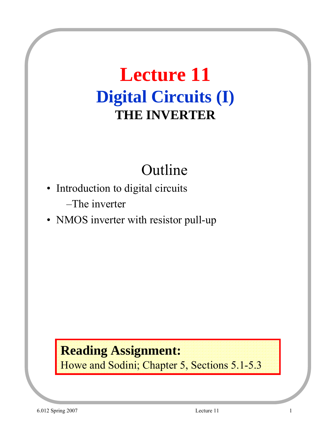# **Lecture 11 Digital Circuits (I) THE INVERTER**

# Outline

- Introduction to digital circuits –The inverter
- NMOS inverter with resistor pull-up

#### **Reading Assignment:** Howe and Sodini; Chapter 5, Sections 5.1-5.3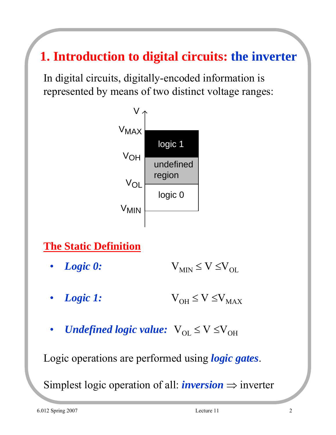### **1. Introduction to digital circuits: the inverter**

In digital circuits, digitally-encoded information is represented by means of two distinct voltage ranges:



#### **The Static Definition**

- *Logic 0:*  $V_{MIN} \le V \le V_{OL}$
- *Logic 1:*  $V_{OH} \le V \le V_{MAX}$
- *Undefined logic value:*  $V_{OL} \le V \le V_{OH}$

Logic operations are performed using *logic gates*.

Simplest logic operation of all: *inversion*  $\Rightarrow$  inverter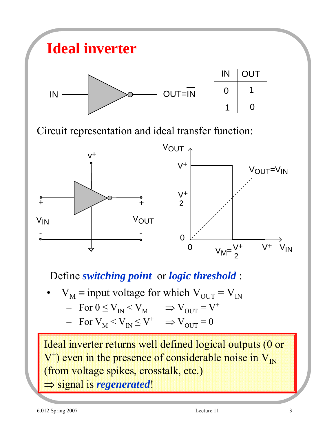

Define *switching point* or *logic threshold* :

 $V_M$  = input voltage for which  $V_{OUT} = V_{IN}$  $-$  For  $0 \leq V_{IN} \leq V_M$   $\Rightarrow V_{OUT} = V^+$  $-$  For  $V_M < V_{IN} \leq V^+$   $\Rightarrow$   $V_{OUT} = 0$ 

Ideal inverter returns well defined logical outputs (0 or  $V^+$ ) even in the presence of considerable noise in  $V_{1N}$ (from voltage spikes, crosstalk, etc.) ⇒ signal is *regenerated*!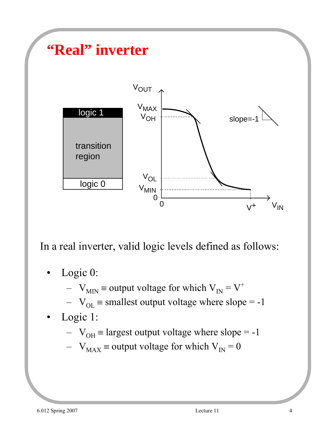

In a real inverter, valid logic levels defined as follows:

- Logic 0:
	- $V_{MIN}$  = output voltage for which  $V_{IN} = V^+$
	- $V_{OL}$  = smallest output voltage where slope = -1
- Logic 1:
	- $V_{OH}$  = largest output voltage where slope = -1
	- $V_{MAX}$  ≡ output voltage for which  $V_{IN}$  = 0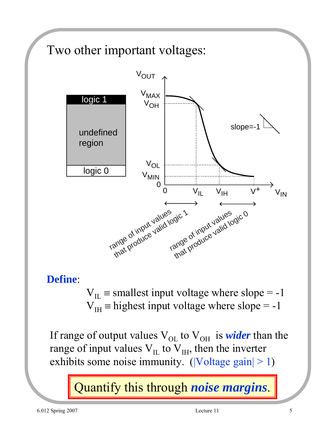

**Define**:

 $V_{\text{II}}$  = smallest input voltage where slope = -1  $V_{\text{IH}}$  = highest input voltage where slope = -1

If range of output values  $V_{OL}$  to  $V_{OH}$  is *wider* than the range of input values  $V_{II}$  to  $V_{IH}$ , then the inverter exhibits some noise immunity. ( $|Voltage gain| > 1$ )

Quantify this through *noise margins*.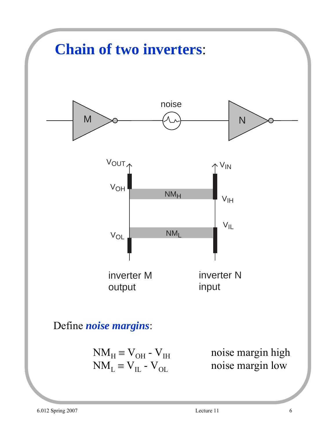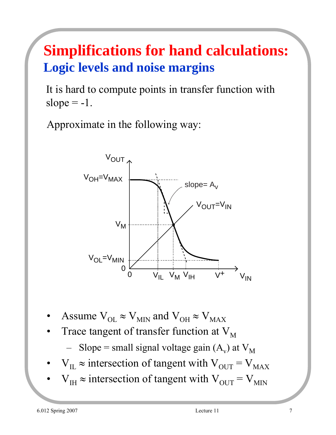## **Simplifications for hand calculations: Logic levels and noise margins**

It is hard to compute points in transfer function with slope  $= -1$ .

Approximate in the following way:



- Assume  $V_{OL} \approx V_{MIN}$  and  $V_{OH} \approx V_{MAX}$
- Trace tangent of transfer function at  $V_M$ 
	- Slope = small signal voltage gain  $(A_v)$  at  $V_M$
- $V_{\text{IL}} \approx$  intersection of tangent with  $V_{\text{OUT}} = V_{\text{MAX}}$
- $V_{\text{H}} \approx$  intersection of tangent with  $V_{\text{OUT}} = V_{\text{MIN}}$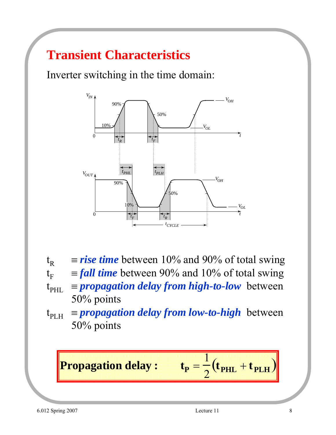### **Transient Characteristics**

Inverter switching in the time domain:



- $t_R$  = *rise time* between 10% and 90% of total swing  $t_F$  = *fall time* between 90% and 10% of total swing
- $t_{\text{PHL}}$  = *propagation delay from high-to-low* between 50% points
- $t_{\text{PLH}}$  = *propagation delay from low-to-high* between 50% points

**Propagation delay:** tr

$$
P_{\rm P} = \frac{1}{2} \left( t_{\rm PHL} + t_{\rm PLH} \right)
$$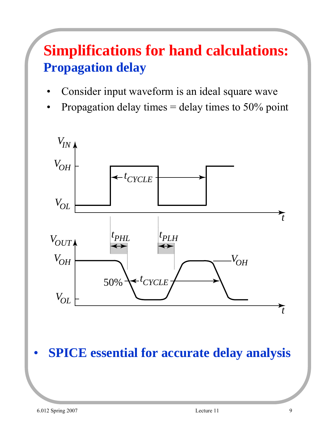### **Simplifications for hand calculations: Propagation delay**

- Consider input waveform is an ideal square wave
- Propagation delay times  $=$  delay times to 50% point



• **SPICE essential for accurate delay analysis**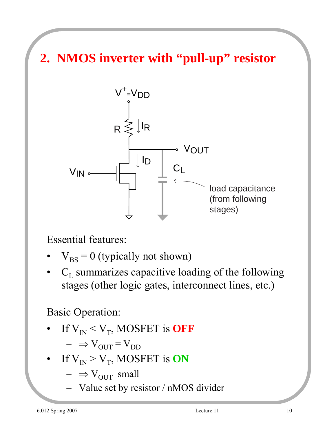**2. NMOS inverter with "pull-up" resistor**



Essential features:

- $V_{BS} = 0$  (typically not shown)
- $C_L$  summarizes capacitive loading of the following stages (other logic gates, interconnect lines, etc.)

#### Basic Operation:

If  $V_{\text{IN}} < V_{\text{T}}$ , MOSFET is **OFF** 

 $- \Rightarrow V_{\text{OUT}} = V_{\text{DD}}$ 

- If  $V_{IN} > V_T$ , MOSFET is **ON** 
	- $\Rightarrow V_{\text{OUT}}$  small
	- Value set by resistor / nMOS divider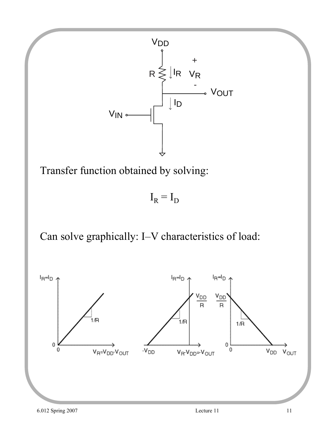

Transfer function obtained by solving:

 $I_R = I_D$ 

Can solve graphically: I–V characteristics of load:

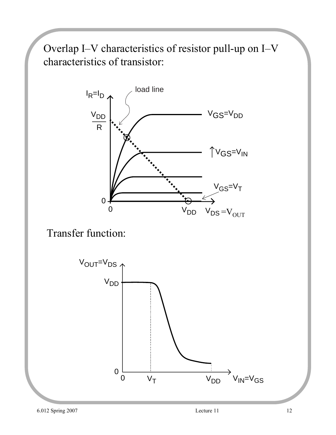Overlap I–V characteristics of resistor pull-up on I–V characteristics of transistor:



Transfer function:

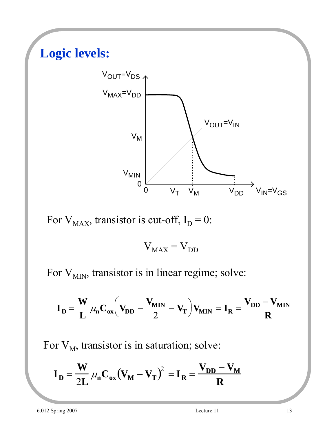# **Logic levels:** V<sub>OUT</sub>=V<sub>DS</sub> V<sub>OUT</sub>=V<sub>IN</sub> 0 V<sub>T</sub> V<sub>M</sub> V<sub>DD</sub> V<sub>IN</sub>=V<sub>GS</sub> 0  $V_M$ V<sub>MAX</sub>=V<sub>DD</sub>  $V_{MIN}$

For  $V_{MAX}$ , transistor is cut-off,  $I_D = 0$ :

$$
V_{MAX} = V_{DD}
$$

For  $V_{MIN}$ , transistor is in linear regime; solve:

$$
\mathbf{I}_{D} = \frac{\mathbf{W}}{\mathbf{L}} \mu_{n} \mathbf{C}_{ox} \left( \mathbf{V}_{DD} - \frac{\mathbf{V}_{MIN}}{2} - \mathbf{V}_{T} \right) \mathbf{V}_{MIN} = \mathbf{I}_{R} = \frac{\mathbf{V}_{DD} - \mathbf{V}_{MIN}}{R}
$$

For  $V_M$ , transistor is in saturation; solve:

$$
\mathbf{I}_{\mathbf{D}} = \frac{\mathbf{W}}{2\mathbf{L}} \mu_{\mathbf{n}} \mathbf{C}_{\mathbf{o}\mathbf{x}} (\mathbf{V}_{\mathbf{M}} - \mathbf{V}_{\mathbf{T}})^2 = \mathbf{I}_{\mathbf{R}} = \frac{\mathbf{V}_{\mathbf{D}\mathbf{D}} - \mathbf{V}_{\mathbf{M}}}{\mathbf{R}}
$$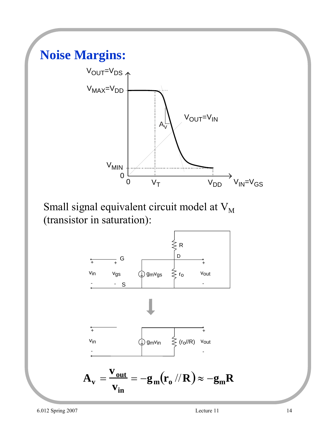

Small signal equivalent circuit model at  $V_M$ (transistor in saturation):